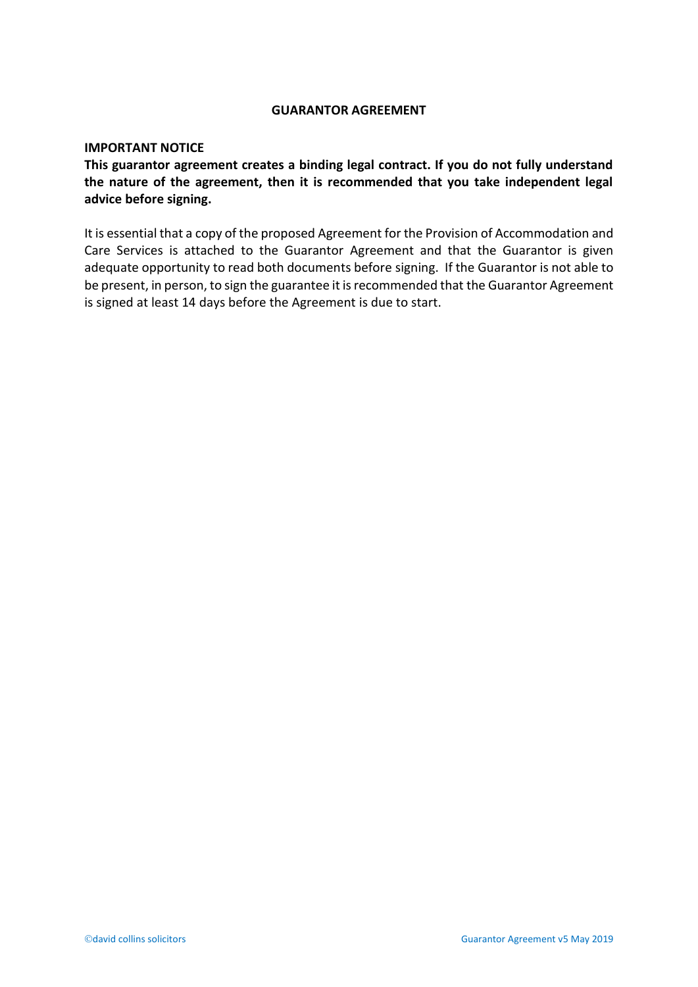## **GUARANTOR AGREEMENT**

## **IMPORTANT NOTICE**

**This guarantor agreement creates a binding legal contract. If you do not fully understand the nature of the agreement, then it is recommended that you take independent legal advice before signing.**

It is essential that a copy of the proposed Agreement for the Provision of Accommodation and Care Services is attached to the Guarantor Agreement and that the Guarantor is given adequate opportunity to read both documents before signing. If the Guarantor is not able to be present, in person, to sign the guarantee it is recommended that the Guarantor Agreement is signed at least 14 days before the Agreement is due to start.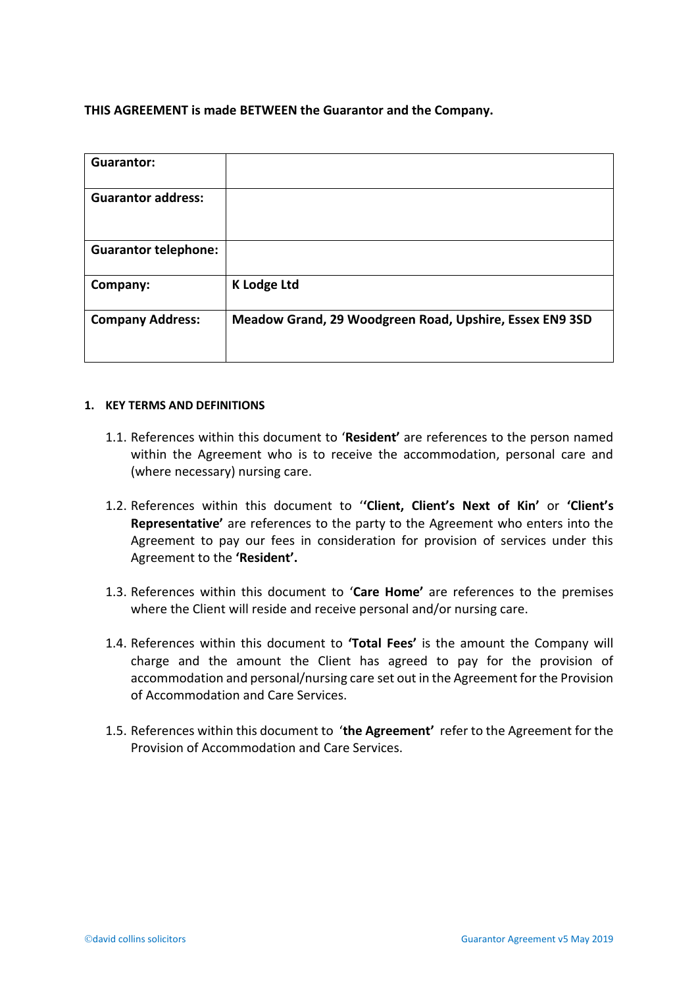**THIS AGREEMENT is made BETWEEN the Guarantor and the Company.**

| <b>Guarantor:</b>           |                                                         |
|-----------------------------|---------------------------------------------------------|
| <b>Guarantor address:</b>   |                                                         |
| <b>Guarantor telephone:</b> |                                                         |
| Company:                    | <b>K</b> Lodge Ltd                                      |
| <b>Company Address:</b>     | Meadow Grand, 29 Woodgreen Road, Upshire, Essex EN9 3SD |

## **1. KEY TERMS AND DEFINITIONS**

- 1.1. References within this document to '**Resident'** are references to the person named within the Agreement who is to receive the accommodation, personal care and (where necessary) nursing care.
- 1.2. References within this document to '**'Client, Client's Next of Kin'** or **'Client's Representative'** are references to the party to the Agreement who enters into the Agreement to pay our fees in consideration for provision of services under this Agreement to the **'Resident'.**
- 1.3. References within this document to '**Care Home'** are references to the premises where the Client will reside and receive personal and/or nursing care.
- 1.4. References within this document to **'Total Fees'** is the amount the Company will charge and the amount the Client has agreed to pay for the provision of accommodation and personal/nursing care set out in the Agreement for the Provision of Accommodation and Care Services.
- 1.5. References within this document to '**the Agreement'** refer to the Agreement for the Provision of Accommodation and Care Services.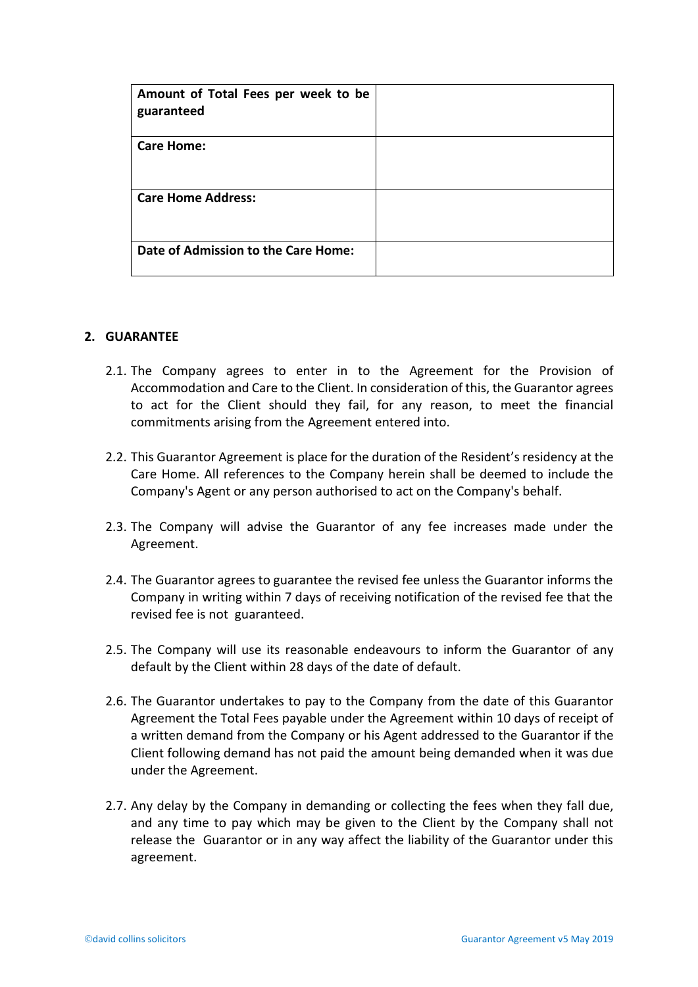| Amount of Total Fees per week to be<br>guaranteed |  |
|---------------------------------------------------|--|
| <b>Care Home:</b>                                 |  |
| <b>Care Home Address:</b>                         |  |
| Date of Admission to the Care Home:               |  |

## **2. GUARANTEE**

- 2.1. The Company agrees to enter in to the Agreement for the Provision of Accommodation and Care to the Client. In consideration of this, the Guarantor agrees to act for the Client should they fail, for any reason, to meet the financial commitments arising from the Agreement entered into.
- 2.2. This Guarantor Agreement is place for the duration of the Resident's residency at the Care Home. All references to the Company herein shall be deemed to include the Company's Agent or any person authorised to act on the Company's behalf.
- 2.3. The Company will advise the Guarantor of any fee increases made under the Agreement.
- 2.4. The Guarantor agrees to guarantee the revised fee unless the Guarantor informs the Company in writing within 7 days of receiving notification of the revised fee that the revised fee is not guaranteed.
- 2.5. The Company will use its reasonable endeavours to inform the Guarantor of any default by the Client within 28 days of the date of default.
- 2.6. The Guarantor undertakes to pay to the Company from the date of this Guarantor Agreement the Total Fees payable under the Agreement within 10 days of receipt of a written demand from the Company or his Agent addressed to the Guarantor if the Client following demand has not paid the amount being demanded when it was due under the Agreement.
- 2.7. Any delay by the Company in demanding or collecting the fees when they fall due, and any time to pay which may be given to the Client by the Company shall not release the Guarantor or in any way affect the liability of the Guarantor under this agreement.